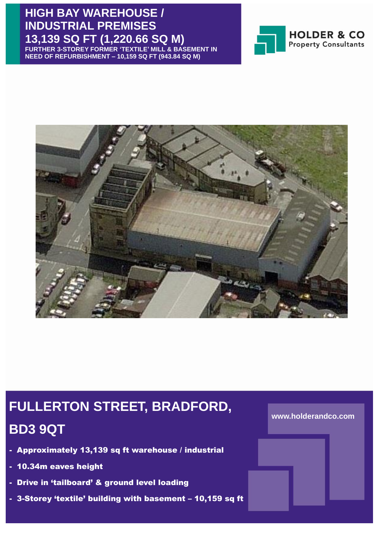## **HIGH BAY WAREHOUSE / INDUSTRIAL PREMISES 13,139 SQ FT (1,220.66 SQ M)**

**FURTHER 3-STOREY FORMER 'TEXTILE' MILL & BASEMENT IN NEED OF REFURBISHMENT – 10,159 SQ FT (943.84 SQ M)**





## **FULLERTON STREET, BRADFORD,**

## **BD3 9QT**

- Approximately 13,139 sq ft warehouse / industrial
- 10.34m eaves height
- Drive in 'tailboard' & ground level loading
- 3-Storey 'textile' building with basement 10,159 sq ft

### **www.holderandco.com**